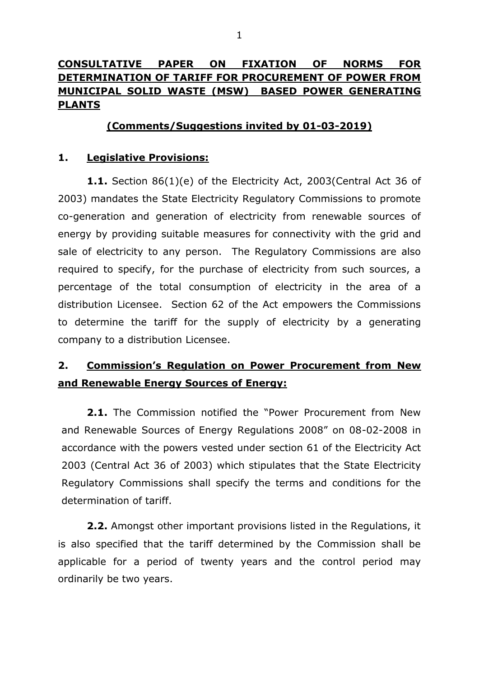# **CONSULTATIVE PAPER ON FIXATION OF NORMS FOR DETERMINATION OF TARIFF FOR PROCUREMENT OF POWER FROM MUNICIPAL SOLID WASTE (MSW) BASED POWER GENERATING PLANTS**

## **(Comments/Suggestions invited by 01-03-2019)**

## **1. Legislative Provisions:**

**1.1.** Section 86(1)(e) of the Electricity Act, 2003(Central Act 36 of 2003) mandates the State Electricity Regulatory Commissions to promote co-generation and generation of electricity from renewable sources of energy by providing suitable measures for connectivity with the grid and sale of electricity to any person. The Regulatory Commissions are also required to specify, for the purchase of electricity from such sources, a percentage of the total consumption of electricity in the area of a distribution Licensee. Section 62 of the Act empowers the Commissions to determine the tariff for the supply of electricity by a generating company to a distribution Licensee.

# **2. Commission's Regulation on Power Procurement from New and Renewable Energy Sources of Energy:**

**2.1.** The Commission notified the "Power Procurement from New and Renewable Sources of Energy Regulations 2008" on 08-02-2008 in accordance with the powers vested under section 61 of the Electricity Act 2003 (Central Act 36 of 2003) which stipulates that the State Electricity Regulatory Commissions shall specify the terms and conditions for the determination of tariff.

**2.2.** Amongst other important provisions listed in the Regulations, it is also specified that the tariff determined by the Commission shall be applicable for a period of twenty years and the control period may ordinarily be two years.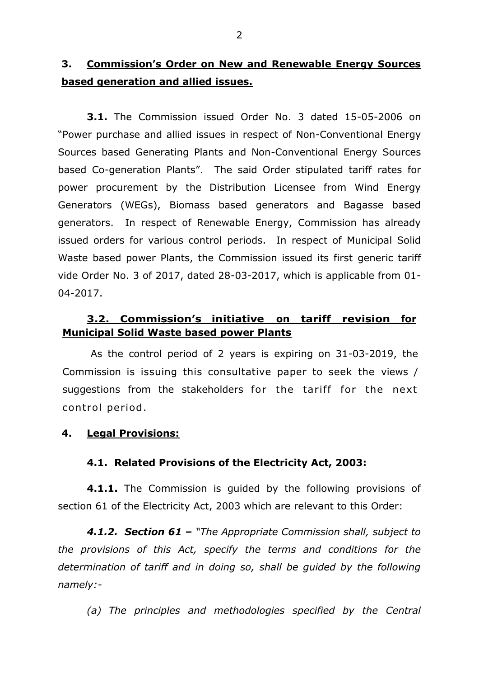# **3. Commission's Order on New and Renewable Energy Sources based generation and allied issues.**

**3.1.** The Commission issued Order No. 3 dated 15-05-2006 on "Power purchase and allied issues in respect of Non-Conventional Energy Sources based Generating Plants and Non-Conventional Energy Sources based Co-generation Plants". The said Order stipulated tariff rates for power procurement by the Distribution Licensee from Wind Energy Generators (WEGs), Biomass based generators and Bagasse based generators. In respect of Renewable Energy, Commission has already issued orders for various control periods. In respect of Municipal Solid Waste based power Plants, the Commission issued its first generic tariff vide Order No. 3 of 2017, dated 28-03-2017, which is applicable from 01- 04-2017.

## **3.2. Commission's initiative on tariff revision for Municipal Solid Waste based power Plants**

As the control period of 2 years is expiring on 31-03-2019, the Commission is issuing this consultative paper to seek the views / suggestions from the stakeholders for the tariff for the next control period .

### **4. Legal Provisions:**

### **4.1. Related Provisions of the Electricity Act, 2003:**

**4.1.1.** The Commission is guided by the following provisions of section 61 of the Electricity Act, 2003 which are relevant to this Order:

*4.1.2. Section 61 – "The Appropriate Commission shall, subject to the provisions of this Act, specify the terms and conditions for the determination of tariff and in doing so, shall be guided by the following namely:-*

*(a) The principles and methodologies specified by the Central*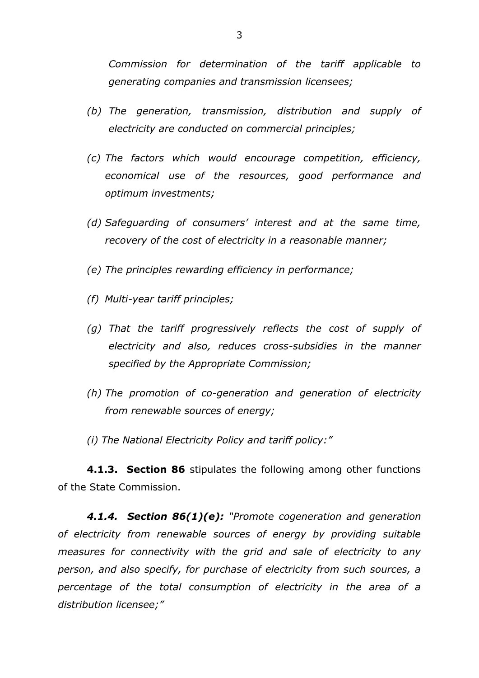*Commission for determination of the tariff applicable to generating companies and transmission licensees;*

- *(b) The generation, transmission, distribution and supply of electricity are conducted on commercial principles;*
- *(c) The factors which would encourage competition, efficiency, economical use of the resources, good performance and optimum investments;*
- *(d) Safeguarding of consumers' interest and at the same time, recovery of the cost of electricity in a reasonable manner;*
- *(e) The principles rewarding efficiency in performance;*
- *(f) Multi-year tariff principles;*
- *(g) That the tariff progressively reflects the cost of supply of electricity and also, reduces cross-subsidies in the manner specified by the Appropriate Commission;*
- *(h) The promotion of co-generation and generation of electricity from renewable sources of energy;*
- *(i) The National Electricity Policy and tariff policy:"*

**4.1.3. Section 86** stipulates the following among other functions of the State Commission.

*4.1.4. Section 86(1)(e): "Promote cogeneration and generation of electricity from renewable sources of energy by providing suitable measures for connectivity with the grid and sale of electricity to any person, and also specify, for purchase of electricity from such sources, a percentage of the total consumption of electricity in the area of a distribution licensee;"*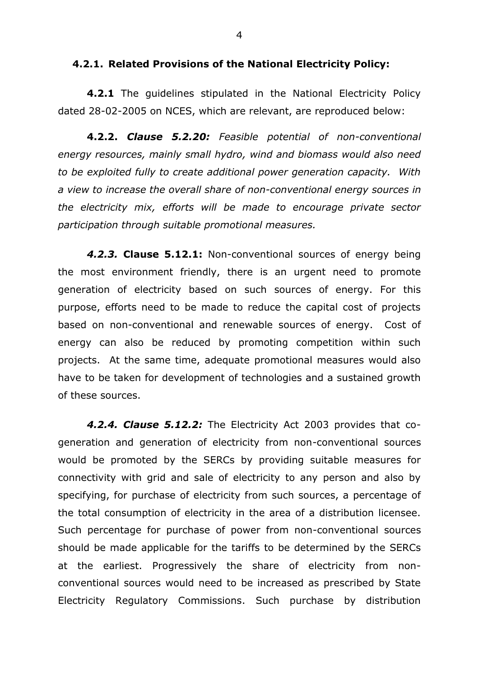#### **4.2.1. Related Provisions of the National Electricity Policy:**

**4.2.1** The guidelines stipulated in the National Electricity Policy dated 28-02-2005 on NCES, which are relevant, are reproduced below:

**4.2.2.** *Clause 5.2.20: Feasible potential of non-conventional energy resources, mainly small hydro, wind and biomass would also need to be exploited fully to create additional power generation capacity. With a view to increase the overall share of non-conventional energy sources in the electricity mix, efforts will be made to encourage private sector participation through suitable promotional measures.*

*4.2.3.* **Clause 5.12.1:** Non-conventional sources of energy being the most environment friendly, there is an urgent need to promote generation of electricity based on such sources of energy. For this purpose, efforts need to be made to reduce the capital cost of projects based on non-conventional and renewable sources of energy. Cost of energy can also be reduced by promoting competition within such projects. At the same time, adequate promotional measures would also have to be taken for development of technologies and a sustained growth of these sources.

*4.2.4. Clause 5.12.2:* The Electricity Act 2003 provides that cogeneration and generation of electricity from non-conventional sources would be promoted by the SERCs by providing suitable measures for connectivity with grid and sale of electricity to any person and also by specifying, for purchase of electricity from such sources, a percentage of the total consumption of electricity in the area of a distribution licensee. Such percentage for purchase of power from non-conventional sources should be made applicable for the tariffs to be determined by the SERCs at the earliest. Progressively the share of electricity from nonconventional sources would need to be increased as prescribed by State Electricity Regulatory Commissions. Such purchase by distribution

4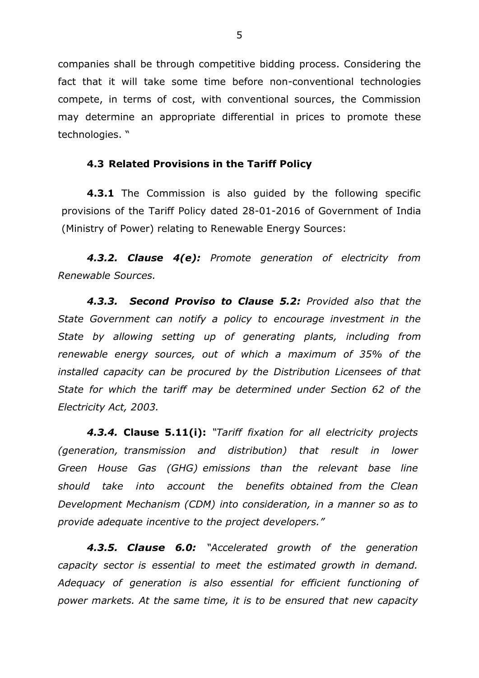companies shall be through competitive bidding process. Considering the fact that it will take some time before non-conventional technologies compete, in terms of cost, with conventional sources, the Commission may determine an appropriate differential in prices to promote these technologies. "

#### **4.3 Related Provisions in the Tariff Policy**

**4.3.1** The Commission is also guided by the following specific provisions of the Tariff Policy dated 28-01-2016 of Government of India (Ministry of Power) relating to Renewable Energy Sources:

*4.3.2. Clause 4(e): Promote generation of electricity from Renewable Sources.*

*4.3.3. Second Proviso to Clause 5.2: Provided also that the State Government can notify a policy to encourage investment in the State by allowing setting up of generating plants, including from renewable energy sources, out of which a maximum of 35% of the installed capacity can be procured by the Distribution Licensees of that State for which the tariff may be determined under Section 62 of the Electricity Act, 2003.*

*4.3.4.* **Clause 5.11(i):** *"Tariff fixation for all electricity projects (generation, transmission and distribution) that result in lower Green House Gas (GHG) emissions than the relevant base line should take into account the benefits obtained from the Clean Development Mechanism (CDM) into consideration, in a manner so as to provide adequate incentive to the project developers."*

*4.3.5. Clause 6.0: "Accelerated growth of the generation capacity sector is essential to meet the estimated growth in demand. Adequacy of generation is also essential for efficient functioning of power markets. At the same time, it is to be ensured that new capacity*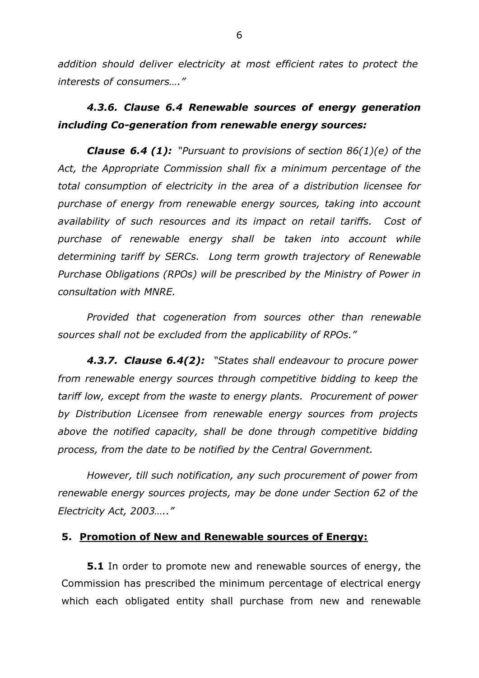*addition should deliver electricity at most efficient rates to protect the interests of consumers…."*

# *4.3.6. Clause 6.4 Renewable sources of energy generation including Co-generation from renewable energy sources:*

*Clause 6.4 (1): "Pursuant to provisions of section 86(1)(e) of the Act, the Appropriate Commission shall fix a minimum percentage of the total consumption of electricity in the area of a distribution licensee for purchase of energy from renewable energy sources, taking into account availability of such resources and its impact on retail tariffs. Cost of purchase of renewable energy shall be taken into account while determining tariff by SERCs. Long term growth trajectory of Renewable Purchase Obligations (RPOs) will be prescribed by the Ministry of Power in consultation with MNRE.*

*Provided that cogeneration from sources other than renewable sources shall not be excluded from the applicability of RPOs."*

*4.3.7. Clause 6.4(2): "States shall endeavour to procure power from renewable energy sources through competitive bidding to keep the tariff low, except from the waste to energy plants. Procurement of power by Distribution Licensee from renewable energy sources from projects above the notified capacity, shall be done through competitive bidding process, from the date to be notified by the Central Government.*

*However, till such notification, any such procurement of power from renewable energy sources projects, may be done under Section 62 of the Electricity Act, 2003….."* 

### **5. Promotion of New and Renewable sources of Energy:**

**5.1** In order to promote new and renewable sources of energy, the Commission has prescribed the minimum percentage of electrical energy which each obligated entity shall purchase from new and renewable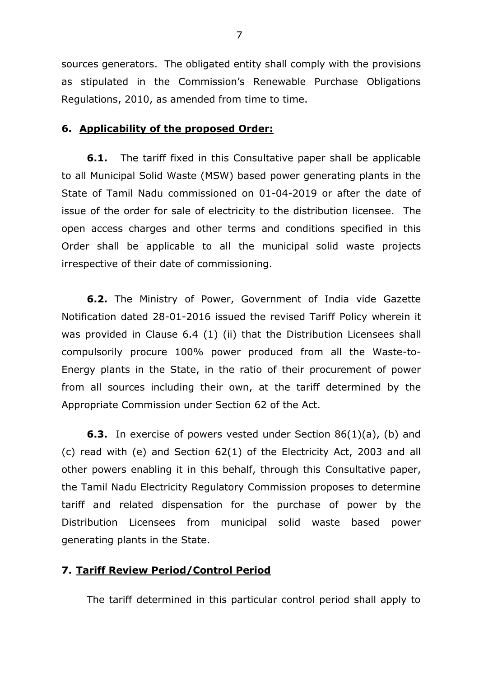sources generators. The obligated entity shall comply with the provisions as stipulated in the Commission's Renewable Purchase Obligations Regulations, 2010, as amended from time to time.

#### **6. Applicability of the proposed Order:**

**6.1.** The tariff fixed in this Consultative paper shall be applicable to all Municipal Solid Waste (MSW) based power generating plants in the State of Tamil Nadu commissioned on 01-04-2019 or after the date of issue of the order for sale of electricity to the distribution licensee. The open access charges and other terms and conditions specified in this Order shall be applicable to all the municipal solid waste projects irrespective of their date of commissioning.

**6.2.** The Ministry of Power, Government of India vide Gazette Notification dated 28-01-2016 issued the revised Tariff Policy wherein it was provided in Clause 6.4 (1) (ii) that the Distribution Licensees shall compulsorily procure 100% power produced from all the Waste-to-Energy plants in the State, in the ratio of their procurement of power from all sources including their own, at the tariff determined by the Appropriate Commission under Section 62 of the Act.

**6.3.** In exercise of powers vested under Section 86(1)(a), (b) and (c) read with (e) and Section 62(1) of the Electricity Act, 2003 and all other powers enabling it in this behalf, through this Consultative paper, the Tamil Nadu Electricity Regulatory Commission proposes to determine tariff and related dispensation for the purchase of power by the Distribution Licensees from municipal solid waste based power generating plants in the State.

#### **7. Tariff Review Period/Control Period**

The tariff determined in this particular control period shall apply to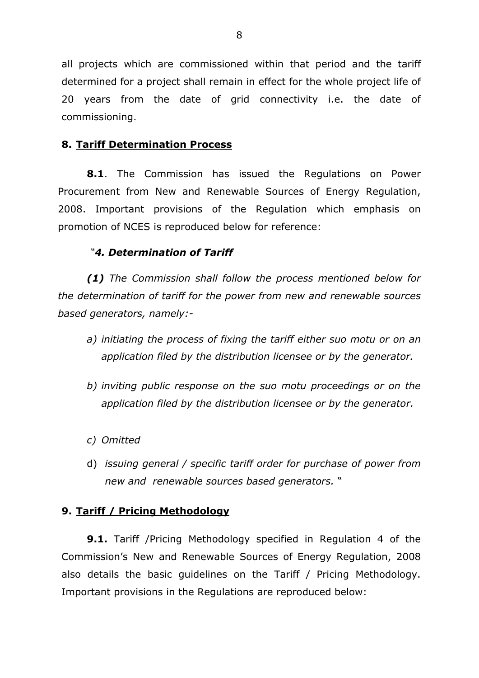all projects which are commissioned within that period and the tariff determined for a project shall remain in effect for the whole project life of 20 years from the date of grid connectivity i.e. the date of commissioning.

## **8. Tariff Determination Process**

**8.1**. The Commission has issued the Regulations on Power Procurement from New and Renewable Sources of Energy Regulation, 2008. Important provisions of the Regulation which emphasis on promotion of NCES is reproduced below for reference:

### *"4. Determination of Tariff*

*(1) The Commission shall follow the process mentioned below for the determination of tariff for the power from new and renewable sources based generators, namely:-*

- *a) initiating the process of fixing the tariff either suo motu or on an application filed by the distribution licensee or by the generator.*
- *b) inviting public response on the suo motu proceedings or on the application filed by the distribution licensee or by the generator.*
- *c) Omitted*
- d) *issuing general / specific tariff order for purchase of power from new and renewable sources based generators.* "

### **9. Tariff / Pricing Methodology**

**9.1.** Tariff /Pricing Methodology specified in Regulation 4 of the Commission's New and Renewable Sources of Energy Regulation, 2008 also details the basic guidelines on the Tariff / Pricing Methodology. Important provisions in the Regulations are reproduced below: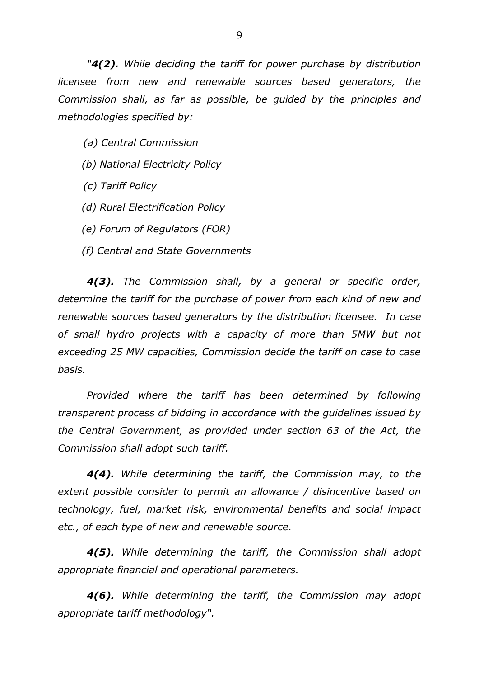*"4(2). While deciding the tariff for power purchase by distribution licensee from new and renewable sources based generators, the Commission shall, as far as possible, be guided by the principles and methodologies specified by:*

*(a) Central Commission*

- *(b) National Electricity Policy*
- *(c) Tariff Policy*
- *(d) Rural Electrification Policy*
- *(e) Forum of Regulators (FOR)*
- *(f) Central and State Governments*

*4(3). The Commission shall, by a general or specific order, determine the tariff for the purchase of power from each kind of new and renewable sources based generators by the distribution licensee. In case of small hydro projects with a capacity of more than 5MW but not exceeding 25 MW capacities, Commission decide the tariff on case to case basis.*

*Provided where the tariff has been determined by following transparent process of bidding in accordance with the guidelines issued by the Central Government, as provided under section 63 of the Act, the Commission shall adopt such tariff.*

*4(4). While determining the tariff, the Commission may, to the extent possible consider to permit an allowance / disincentive based on technology, fuel, market risk, environmental benefits and social impact etc., of each type of new and renewable source.*

*4(5). While determining the tariff, the Commission shall adopt appropriate financial and operational parameters.*

*4(6). While determining the tariff, the Commission may adopt appropriate tariff methodology".*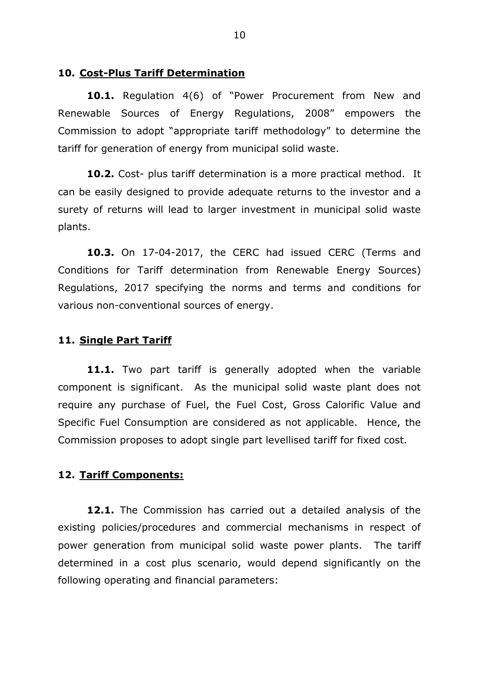#### **10. Cost-Plus Tariff Determination**

**10.1.** Regulation 4(6) of "Power Procurement from New and Renewable Sources of Energy Regulations, 2008" empowers the Commission to adopt "appropriate tariff methodology" to determine the tariff for generation of energy from municipal solid waste.

**10.2.** Cost- plus tariff determination is a more practical method. It can be easily designed to provide adequate returns to the investor and a surety of returns will lead to larger investment in municipal solid waste plants.

**10.3.** On 17-04-2017, the CERC had issued CERC (Terms and Conditions for Tariff determination from Renewable Energy Sources) Regulations, 2017 specifying the norms and terms and conditions for various non-conventional sources of energy.

#### **11. Single Part Tariff**

11.1. Two part tariff is generally adopted when the variable component is significant. As the municipal solid waste plant does not require any purchase of Fuel, the Fuel Cost, Gross Calorific Value and Specific Fuel Consumption are considered as not applicable. Hence, the Commission proposes to adopt single part levellised tariff for fixed cost.

#### **12. Tariff Components:**

**12.1.** The Commission has carried out a detailed analysis of the existing policies/procedures and commercial mechanisms in respect of power generation from municipal solid waste power plants. The tariff determined in a cost plus scenario, would depend significantly on the following operating and financial parameters: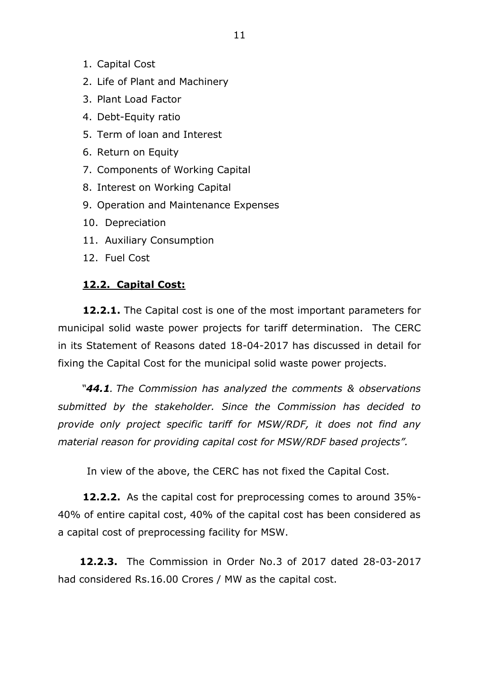- 1. Capital Cost
- 2. Life of Plant and Machinery
- 3. Plant Load Factor
- 4. Debt-Equity ratio
- 5. Term of loan and Interest
- 6. Return on Equity
- 7. Components of Working Capital
- 8. Interest on Working Capital
- 9. Operation and Maintenance Expenses
- 10. Depreciation
- 11. Auxiliary Consumption
- 12. Fuel Cost

### **12.2. Capital Cost:**

**12.2.1.** The Capital cost is one of the most important parameters for municipal solid waste power projects for tariff determination. The CERC in its Statement of Reasons dated 18-04-2017 has discussed in detail for fixing the Capital Cost for the municipal solid waste power projects.

 *"44.1. The Commission has analyzed the comments & observations submitted by the stakeholder. Since the Commission has decided to provide only project specific tariff for MSW/RDF, it does not find any material reason for providing capital cost for MSW/RDF based projects".* 

In view of the above, the CERC has not fixed the Capital Cost.

**12.2.2.** As the capital cost for preprocessing comes to around 35%- 40% of entire capital cost, 40% of the capital cost has been considered as a capital cost of preprocessing facility for MSW.

**12.2.3.** The Commission in Order No.3 of 2017 dated 28-03-2017 had considered Rs.16.00 Crores / MW as the capital cost.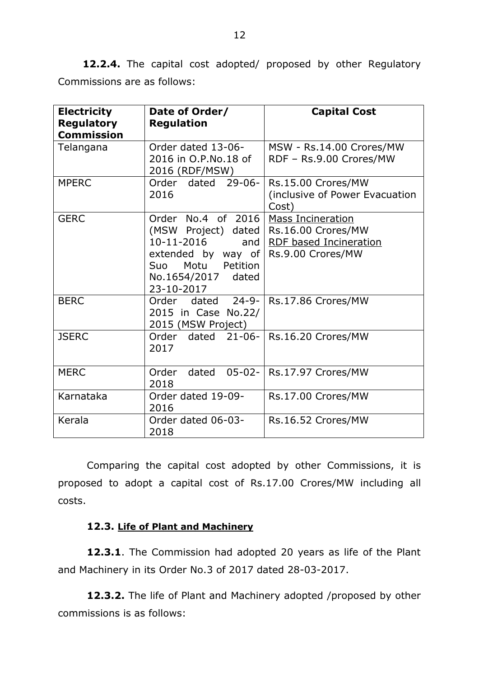**12.2.4.** The capital cost adopted/ proposed by other Regulatory Commissions are as follows:

| <b>Electricity</b><br><b>Regulatory</b><br><b>Commission</b> | Date of Order/<br><b>Regulation</b>                                                                                                                 | <b>Capital Cost</b>                                                                           |
|--------------------------------------------------------------|-----------------------------------------------------------------------------------------------------------------------------------------------------|-----------------------------------------------------------------------------------------------|
| Telangana                                                    | Order dated 13-06-<br>2016 in O.P.No.18 of<br>2016 (RDF/MSW)                                                                                        | MSW - Rs.14.00 Crores/MW<br>RDF - Rs.9.00 Crores/MW                                           |
| <b>MPERC</b>                                                 | Order dated 29-06-<br>2016                                                                                                                          | Rs.15.00 Crores/MW<br>(inclusive of Power Evacuation<br>Cost)                                 |
| <b>GERC</b>                                                  | Order No.4 of 2016<br>(MSW Project) dated<br>10-11-2016<br>and<br>extended by way of<br>Motu<br>Petition<br>Suo<br>No.1654/2017 dated<br>23-10-2017 | <b>Mass Incineration</b><br>Rs.16.00 Crores/MW<br>RDF based Incineration<br>Rs.9.00 Crores/MW |
| <b>BERC</b>                                                  | dated $24-9-$<br>Order<br>2015 in Case No.22/<br>2015 (MSW Project)                                                                                 | Rs.17.86 Crores/MW                                                                            |
| <b>JSERC</b>                                                 | $21 - 06 -$<br>Order dated<br>2017                                                                                                                  | Rs.16.20 Crores/MW                                                                            |
| <b>MERC</b>                                                  | $05 - 02 -$<br>Order<br>dated<br>2018                                                                                                               | Rs.17.97 Crores/MW                                                                            |
| Karnataka                                                    | Order dated 19-09-<br>2016                                                                                                                          | Rs.17.00 Crores/MW                                                                            |
| Kerala                                                       | Order dated 06-03-<br>2018                                                                                                                          | Rs.16.52 Crores/MW                                                                            |

Comparing the capital cost adopted by other Commissions, it is proposed to adopt a capital cost of Rs.17.00 Crores/MW including all costs.

# **12.3. Life of Plant and Machinery**

**12.3.1**. The Commission had adopted 20 years as life of the Plant and Machinery in its Order No.3 of 2017 dated 28-03-2017.

**12.3.2.** The life of Plant and Machinery adopted /proposed by other commissions is as follows: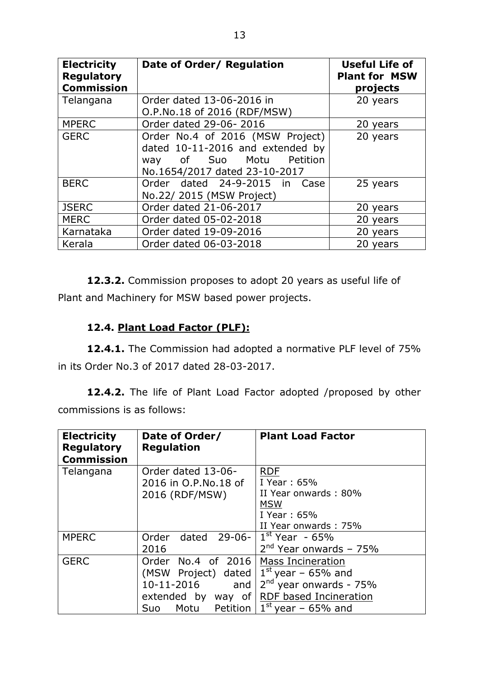| <b>Electricity</b><br><b>Regulatory</b><br><b>Commission</b> | Date of Order/ Regulation                                                                                                         | <b>Useful Life of</b><br><b>Plant for MSW</b><br>projects |
|--------------------------------------------------------------|-----------------------------------------------------------------------------------------------------------------------------------|-----------------------------------------------------------|
| Telangana                                                    | Order dated 13-06-2016 in                                                                                                         | 20 years                                                  |
|                                                              | O.P.No.18 of 2016 (RDF/MSW)                                                                                                       |                                                           |
| <b>MPERC</b>                                                 | Order dated 29-06-2016                                                                                                            | 20 years                                                  |
| <b>GERC</b>                                                  | Order No.4 of 2016 (MSW Project)<br>dated 10-11-2016 and extended by<br>way of Suo Motu Petition<br>No.1654/2017 dated 23-10-2017 | 20 years                                                  |
| <b>BERC</b>                                                  | Order dated 24-9-2015 in Case<br>No.22/ 2015 (MSW Project)                                                                        | 25 years                                                  |
| <b>JSERC</b>                                                 | Order dated 21-06-2017                                                                                                            | 20 years                                                  |
| <b>MERC</b>                                                  | Order dated 05-02-2018                                                                                                            | 20 years                                                  |
| Karnataka                                                    | Order dated 19-09-2016                                                                                                            | 20 years                                                  |
| Kerala                                                       | Order dated 06-03-2018                                                                                                            | 20 years                                                  |

**12.3.2.** Commission proposes to adopt 20 years as useful life of Plant and Machinery for MSW based power projects.

# **12.4. Plant Load Factor (PLF):**

**12.4.1.** The Commission had adopted a normative PLF level of 75% in its Order No.3 of 2017 dated 28-03-2017.

**12.4.2.** The life of Plant Load Factor adopted /proposed by other commissions is as follows:

| <b>Electricity</b><br><b>Regulatory</b><br><b>Commission</b> | Date of Order/<br><b>Regulation</b> | <b>Plant Load Factor</b> |
|--------------------------------------------------------------|-------------------------------------|--------------------------|
| Telangana                                                    | Order dated 13-06-                  | <b>RDF</b>               |
|                                                              | 2016 in O.P.No.18 of                | I Year: 65%              |
|                                                              | 2016 (RDF/MSW)                      | II Year onwards: 80%     |
|                                                              |                                     | <b>MSW</b>               |
|                                                              |                                     | I Year: 65%              |
|                                                              |                                     | II Year onwards: 75%     |
| <b>MPERC</b>                                                 | Order<br>$29 - 06 -$<br>dated       | $1st$ Year - 65%         |
|                                                              | 2016                                | $2nd$ Year onwards - 75% |
| <b>GERC</b>                                                  | No.4 of 2016<br>Order               | <b>Mass Incineration</b> |
|                                                              | (MSW Project) dated                 | $1st$ year – 65% and     |
|                                                              | 10-11-2016<br>and                   | $2nd$ year onwards - 75% |
|                                                              | extended by<br>way of               | RDF based Incineration   |
|                                                              | Petition  <br>Motu<br><b>Suo</b>    | $1st$ year - 65% and     |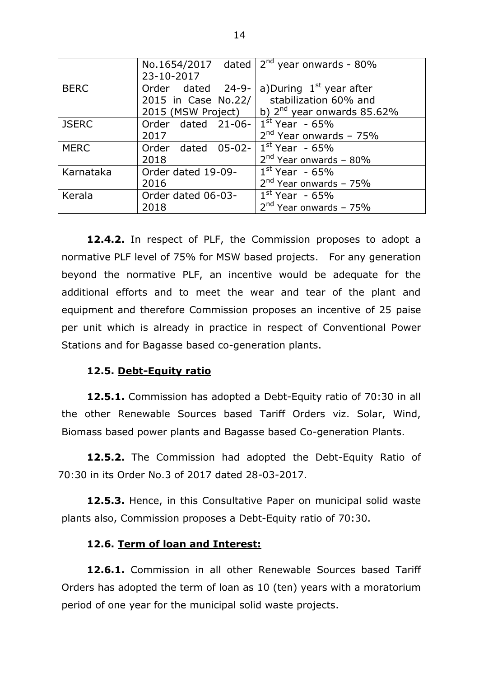|              |                     | No.1654/2017 dated $2^{nd}$ year onwards - 80% |
|--------------|---------------------|------------------------------------------------|
|              | 23-10-2017          |                                                |
| <b>BERC</b>  | Order dated 24-9-   | a)During $1st$ year after                      |
|              | 2015 in Case No.22/ | stabilization 60% and                          |
|              | 2015 (MSW Project)  | b) $2^{nd}$ year onwards 85.62%                |
| <b>JSERC</b> | Order dated 21-06-  | $1st$ Year - 65%                               |
|              | 2017                | $2nd$ Year onwards - 75%                       |
| <b>MERC</b>  | Order dated 05-02-  | $1st$ Year - 65%                               |
|              | 2018                | $2nd$ Year onwards - 80%                       |
| Karnataka    | Order dated 19-09-  | $1st$ Year - 65%                               |
|              | 2016                | $2nd$ Year onwards - 75%                       |
| Kerala       | Order dated 06-03-  | $1st$ Year - 65%                               |
|              | 2018                | $2nd$ Year onwards - 75%                       |

**12.4.2.** In respect of PLF, the Commission proposes to adopt a normative PLF level of 75% for MSW based projects. For any generation beyond the normative PLF, an incentive would be adequate for the additional efforts and to meet the wear and tear of the plant and equipment and therefore Commission proposes an incentive of 25 paise per unit which is already in practice in respect of Conventional Power Stations and for Bagasse based co-generation plants.

## **12.5. Debt-Equity ratio**

**12.5.1.** Commission has adopted a Debt-Equity ratio of 70:30 in all the other Renewable Sources based Tariff Orders viz. Solar, Wind, Biomass based power plants and Bagasse based Co-generation Plants.

**12.5.2.** The Commission had adopted the Debt-Equity Ratio of 70:30 in its Order No.3 of 2017 dated 28-03-2017.

**12.5.3.** Hence, in this Consultative Paper on municipal solid waste plants also, Commission proposes a Debt-Equity ratio of 70:30.

## **12.6. Term of loan and Interest:**

**12.6.1.** Commission in all other Renewable Sources based Tariff Orders has adopted the term of loan as 10 (ten) years with a moratorium period of one year for the municipal solid waste projects.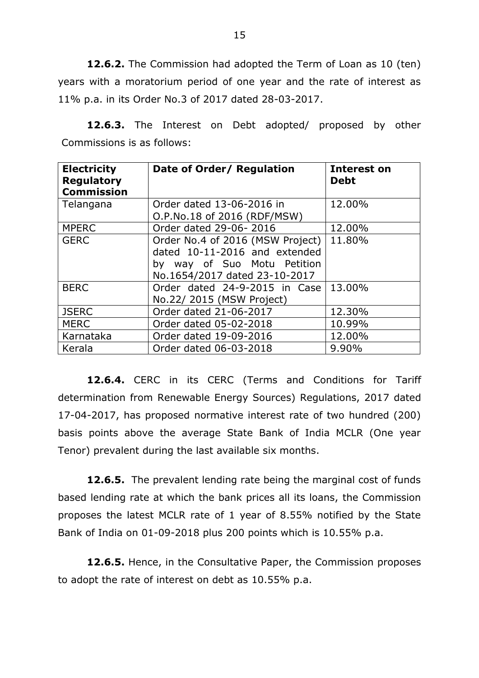**12.6.2.** The Commission had adopted the Term of Loan as 10 (ten) years with a moratorium period of one year and the rate of interest as 11% p.a. in its Order No.3 of 2017 dated 28-03-2017.

**12.6.3.** The Interest on Debt adopted/ proposed by other Commissions is as follows:

| <b>Electricity</b><br><b>Regulatory</b><br><b>Commission</b> | Date of Order/ Regulation                                                                                                         | <b>Interest on</b><br><b>Debt</b> |
|--------------------------------------------------------------|-----------------------------------------------------------------------------------------------------------------------------------|-----------------------------------|
| Telangana                                                    | Order dated 13-06-2016 in                                                                                                         | 12.00%                            |
|                                                              | O.P.No.18 of 2016 (RDF/MSW)                                                                                                       |                                   |
| <b>MPERC</b>                                                 | Order dated 29-06-2016                                                                                                            | 12.00%                            |
| <b>GERC</b>                                                  | Order No.4 of 2016 (MSW Project)<br>dated 10-11-2016 and extended<br>by way of Suo Motu Petition<br>No.1654/2017 dated 23-10-2017 | 11.80%                            |
| <b>BERC</b>                                                  | Order dated 24-9-2015 in Case<br>No.22/ 2015 (MSW Project)                                                                        | 13.00%                            |
| <b>JSERC</b>                                                 | Order dated 21-06-2017                                                                                                            | 12.30%                            |
| <b>MERC</b>                                                  | Order dated 05-02-2018                                                                                                            | 10.99%                            |
| Karnataka                                                    | Order dated 19-09-2016                                                                                                            | 12.00%                            |
| Kerala                                                       | Order dated 06-03-2018                                                                                                            | 9.90%                             |

**12.6.4.** CERC in its CERC (Terms and Conditions for Tariff determination from Renewable Energy Sources) Regulations, 2017 dated 17-04-2017, has proposed normative interest rate of two hundred (200) basis points above the average State Bank of India MCLR (One year Tenor) prevalent during the last available six months.

**12.6.5.** The prevalent lending rate being the marginal cost of funds based lending rate at which the bank prices all its loans, the Commission proposes the latest MCLR rate of 1 year of 8.55% notified by the State Bank of India on 01-09-2018 plus 200 points which is 10.55% p.a.

**12.6.5.** Hence, in the Consultative Paper, the Commission proposes to adopt the rate of interest on debt as 10.55% p.a.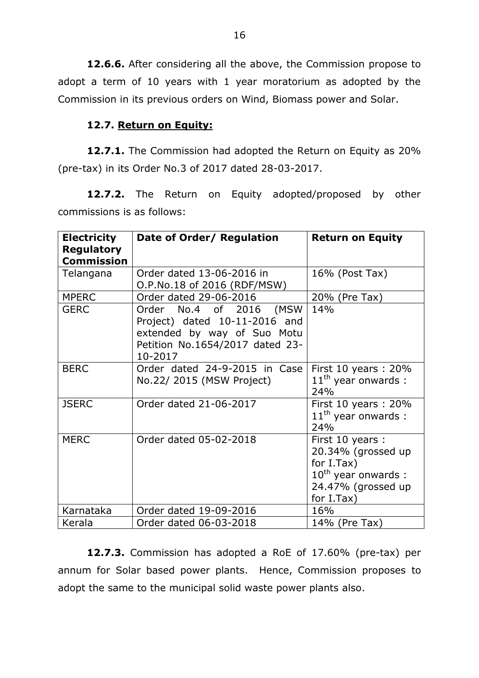**12.6.6.** After considering all the above, the Commission propose to adopt a term of 10 years with 1 year moratorium as adopted by the Commission in its previous orders on Wind, Biomass power and Solar.

## **12.7. Return on Equity:**

**12.7.1.** The Commission had adopted the Return on Equity as 20% (pre-tax) in its Order No.3 of 2017 dated 28-03-2017.

**12.7.2.** The Return on Equity adopted/proposed by other commissions is as follows:

| <b>Electricity</b> | Date of Order/ Regulation                                                                                                             | <b>Return on Equity</b>                                                                                                  |
|--------------------|---------------------------------------------------------------------------------------------------------------------------------------|--------------------------------------------------------------------------------------------------------------------------|
| <b>Regulatory</b>  |                                                                                                                                       |                                                                                                                          |
| <b>Commission</b>  |                                                                                                                                       |                                                                                                                          |
| Telangana          | Order dated 13-06-2016 in<br>O.P.No.18 of 2016 (RDF/MSW)                                                                              | 16% (Post Tax)                                                                                                           |
| <b>MPERC</b>       | Order dated 29-06-2016                                                                                                                | 20% (Pre Tax)                                                                                                            |
| <b>GERC</b>        | Order No.4 of 2016 (MSW<br>Project) dated 10-11-2016 and<br>extended by way of Suo Motu<br>Petition No.1654/2017 dated 23-<br>10-2017 | 14%                                                                                                                      |
| <b>BERC</b>        | Order dated 24-9-2015 in Case<br>No.22/ 2015 (MSW Project)                                                                            | First 10 years : $20\%$<br>$11th$ year onwards :<br>24%                                                                  |
| <b>JSERC</b>       | Order dated 21-06-2017                                                                                                                | First 10 years: $20\%$<br>$11th$ year onwards :<br>24%                                                                   |
| <b>MERC</b>        | Order dated 05-02-2018                                                                                                                | First 10 years :<br>20.34% (grossed up<br>for $I.Tax)$<br>$10^{th}$ year onwards :<br>24.47% (grossed up<br>for $I.Tax)$ |
| Karnataka          | Order dated 19-09-2016                                                                                                                | 16%                                                                                                                      |
| Kerala             | Order dated 06-03-2018                                                                                                                | 14% (Pre Tax)                                                                                                            |

**12.7.3.** Commission has adopted a RoE of 17.60% (pre-tax) per annum for Solar based power plants. Hence, Commission proposes to adopt the same to the municipal solid waste power plants also.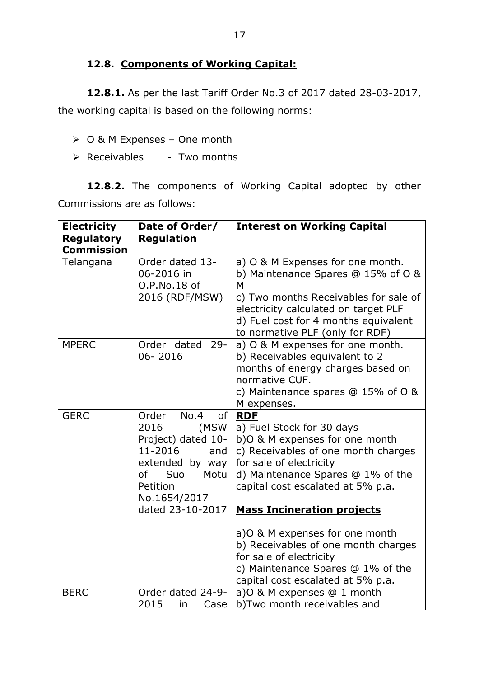## **12.8. Components of Working Capital:**

**12.8.1.** As per the last Tariff Order No.3 of 2017 dated 28-03-2017, the working capital is based on the following norms:

- O & M Expenses One month
- $\triangleright$  Receivables Two months

**12.8.2.** The components of Working Capital adopted by other Commissions are as follows:

| <b>Electricity</b> | Date of Order/        | <b>Interest on Working Capital</b>                                     |
|--------------------|-----------------------|------------------------------------------------------------------------|
| <b>Regulatory</b>  | <b>Regulation</b>     |                                                                        |
| <b>Commission</b>  | Order dated 13-       |                                                                        |
| Telangana          | 06-2016 in            | a) O & M Expenses for one month.<br>b) Maintenance Spares @ 15% of O & |
|                    | O.P.No.18 of          | M                                                                      |
|                    | 2016 (RDF/MSW)        | c) Two months Receivables for sale of                                  |
|                    |                       | electricity calculated on target PLF                                   |
|                    |                       | d) Fuel cost for 4 months equivalent                                   |
|                    |                       | to normative PLF (only for RDF)                                        |
| <b>MPERC</b>       | $29 -$<br>Order dated | a) O & M expenses for one month.                                       |
|                    | 06-2016               | b) Receivables equivalent to 2                                         |
|                    |                       | months of energy charges based on                                      |
|                    |                       | normative CUF.                                                         |
|                    |                       | c) Maintenance spares $@15\%$ of O &                                   |
| <b>GERC</b>        | No.4<br>Order<br>0f   | M expenses.<br><b>RDF</b>                                              |
|                    | (MSW<br>2016          | a) Fuel Stock for 30 days                                              |
|                    | Project) dated 10-    | b) O & M expenses for one month                                        |
|                    | 11-2016<br>and        | c) Receivables of one month charges                                    |
|                    | extended by way       | for sale of electricity                                                |
|                    | Suo<br>Motu<br>of     | d) Maintenance Spares @ 1% of the                                      |
|                    | Petition              | capital cost escalated at 5% p.a.                                      |
|                    | No.1654/2017          |                                                                        |
|                    | dated 23-10-2017      | <b>Mass Incineration projects</b>                                      |
|                    |                       | a) O & M expenses for one month                                        |
|                    |                       | b) Receivables of one month charges                                    |
|                    |                       | for sale of electricity                                                |
|                    |                       | c) Maintenance Spares @ 1% of the                                      |
|                    |                       | capital cost escalated at 5% p.a.                                      |
| <b>BERC</b>        | Order dated 24-9-     | a) O & M expenses @ 1 month                                            |
|                    | 2015<br>in<br>Case    | b)Two month receivables and                                            |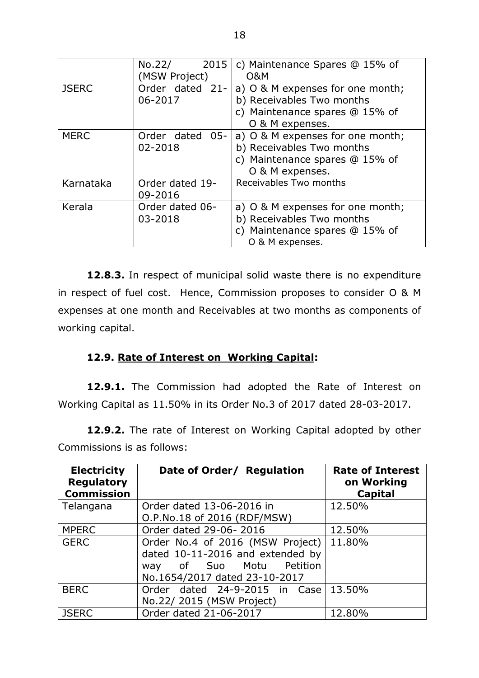|              | No.22/<br>2015<br>(MSW Project) | c) Maintenance Spares @ 15% of<br><b>O&amp;M</b>                                                                   |
|--------------|---------------------------------|--------------------------------------------------------------------------------------------------------------------|
| <b>JSERC</b> | Order dated 21-<br>06-2017      | a) O & M expenses for one month;<br>b) Receivables Two months<br>c) Maintenance spares @ 15% of<br>O & M expenses. |
| <b>MERC</b>  | Order dated 05-<br>02-2018      | a) O & M expenses for one month;<br>b) Receivables Two months<br>c) Maintenance spares @ 15% of<br>O & M expenses. |
| Karnataka    | Order dated 19-<br>09-2016      | Receivables Two months                                                                                             |
| Kerala       | Order dated 06-<br>03-2018      | a) O & M expenses for one month;<br>b) Receivables Two months<br>c) Maintenance spares @ 15% of<br>O & M expenses. |

**12.8.3.** In respect of municipal solid waste there is no expenditure in respect of fuel cost. Hence, Commission proposes to consider O & M expenses at one month and Receivables at two months as components of working capital.

## **12.9. Rate of Interest on Working Capital:**

**12.9.1.** The Commission had adopted the Rate of Interest on Working Capital as 11.50% in its Order No.3 of 2017 dated 28-03-2017.

**12.9.2.** The rate of Interest on Working Capital adopted by other Commissions is as follows:

| <b>Electricity</b><br><b>Regulatory</b><br><b>Commission</b> | Date of Order/ Regulation                                                                                                            | <b>Rate of Interest</b><br>on Working<br>Capital |
|--------------------------------------------------------------|--------------------------------------------------------------------------------------------------------------------------------------|--------------------------------------------------|
| Telangana                                                    | Order dated 13-06-2016 in<br>O.P.No.18 of 2016 (RDF/MSW)                                                                             | 12.50%                                           |
| <b>MPERC</b>                                                 | Order dated 29-06-2016                                                                                                               | 12.50%                                           |
| <b>GERC</b>                                                  | Order No.4 of 2016 (MSW Project)<br>dated 10-11-2016 and extended by<br>Petition<br>way of Suo Motu<br>No.1654/2017 dated 23-10-2017 | 11.80%                                           |
| <b>BERC</b>                                                  | Order dated 24-9-2015 in Case<br>No.22/ 2015 (MSW Project)                                                                           | 13.50%                                           |
| <b>JSERC</b>                                                 | Order dated 21-06-2017                                                                                                               | 12.80%                                           |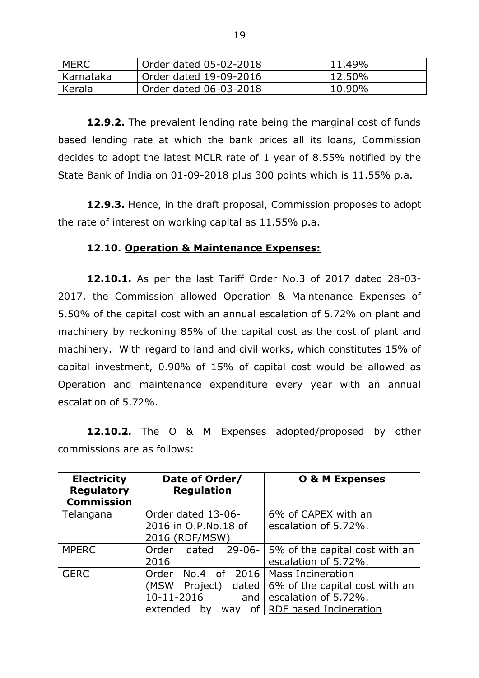| MERC        | Order dated 05-02-2018 | 11.49% |
|-------------|------------------------|--------|
| l Karnataka | Order dated 19-09-2016 | 12.50% |
| Kerala      | Order dated 06-03-2018 | 10.90% |

**12.9.2.** The prevalent lending rate being the marginal cost of funds based lending rate at which the bank prices all its loans, Commission decides to adopt the latest MCLR rate of 1 year of 8.55% notified by the State Bank of India on 01-09-2018 plus 300 points which is 11.55% p.a.

**12.9.3.** Hence, in the draft proposal, Commission proposes to adopt the rate of interest on working capital as 11.55% p.a.

## **12.10. Operation & Maintenance Expenses:**

**12.10.1.** As per the last Tariff Order No.3 of 2017 dated 28-03- 2017, the Commission allowed Operation & Maintenance Expenses of 5.50% of the capital cost with an annual escalation of 5.72% on plant and machinery by reckoning 85% of the capital cost as the cost of plant and machinery. With regard to land and civil works, which constitutes 15% of capital investment, 0.90% of 15% of capital cost would be allowed as Operation and maintenance expenditure every year with an annual escalation of 5.72%.

**12.10.2.** The O & M Expenses adopted/proposed by other commissions are as follows:

| <b>Electricity</b><br><b>Regulatory</b><br><b>Commission</b> | Date of Order/<br><b>Regulation</b> | <b>O &amp; M Expenses</b>        |
|--------------------------------------------------------------|-------------------------------------|----------------------------------|
| Telangana                                                    | Order dated 13-06-                  | 6% of CAPEX with an              |
|                                                              | 2016 in O.P.No.18 of                | escalation of 5.72%.             |
|                                                              | 2016 (RDF/MSW)                      |                                  |
| <b>MPERC</b>                                                 | $29 - 06 -$<br>Order<br>dated       | 5% of the capital cost with an   |
|                                                              | 2016                                | escalation of 5.72%.             |
| <b>GERC</b>                                                  | Order                               | No.4 of 2016   Mass Incineration |
|                                                              | (MSW<br>Project)<br>dated           | 6% of the capital cost with an   |
|                                                              | 10-11-2016<br>and                   | escalation of 5.72%.             |
|                                                              | extended<br><b>of</b><br>bv<br>way  | RDF based Incineration           |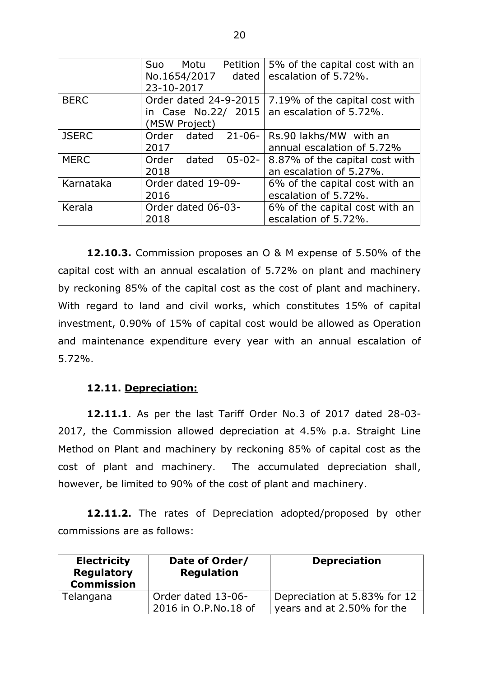|              | Motu<br>Petition<br>Suo       | 5% of the capital cost with an            |
|--------------|-------------------------------|-------------------------------------------|
|              | No.1654/2017<br>dated         | escalation of 5.72%.                      |
|              | 23-10-2017                    |                                           |
| <b>BERC</b>  | Order dated 24-9-2015         | 7.19% of the capital cost with            |
|              | in Case No.22/ 2015           | an escalation of 5.72%.                   |
|              | (MSW Project)                 |                                           |
| <b>JSERC</b> | Order<br>$21 - 06 -$<br>dated | Rs.90 lakhs/MW with an                    |
|              | 2017                          | annual escalation of 5.72%                |
| <b>MERC</b>  | Order<br>dated                | 05-02- $ 8.87\%$ of the capital cost with |
|              | 2018                          | an escalation of 5.27%.                   |
| Karnataka    | Order dated 19-09-            | 6% of the capital cost with an            |
|              | 2016                          | escalation of 5.72%.                      |
| Kerala       | Order dated 06-03-            | 6% of the capital cost with an            |
|              | 2018                          | escalation of 5.72%.                      |

**12.10.3.** Commission proposes an O & M expense of 5.50% of the capital cost with an annual escalation of 5.72% on plant and machinery by reckoning 85% of the capital cost as the cost of plant and machinery. With regard to land and civil works, which constitutes 15% of capital investment, 0.90% of 15% of capital cost would be allowed as Operation and maintenance expenditure every year with an annual escalation of 5.72%.

## **12.11. Depreciation:**

**12.11.1**. As per the last Tariff Order No.3 of 2017 dated 28-03- 2017, the Commission allowed depreciation at 4.5% p.a. Straight Line Method on Plant and machinery by reckoning 85% of capital cost as the cost of plant and machinery. The accumulated depreciation shall, however, be limited to 90% of the cost of plant and machinery.

**12.11.2.** The rates of Depreciation adopted/proposed by other commissions are as follows:

| <b>Electricity</b><br><b>Regulatory</b><br><b>Commission</b> | Date of Order/<br><b>Regulation</b>        | <b>Depreciation</b>                                        |
|--------------------------------------------------------------|--------------------------------------------|------------------------------------------------------------|
| Telangana                                                    | Order dated 13-06-<br>2016 in O.P.No.18 of | Depreciation at 5.83% for 12<br>years and at 2.50% for the |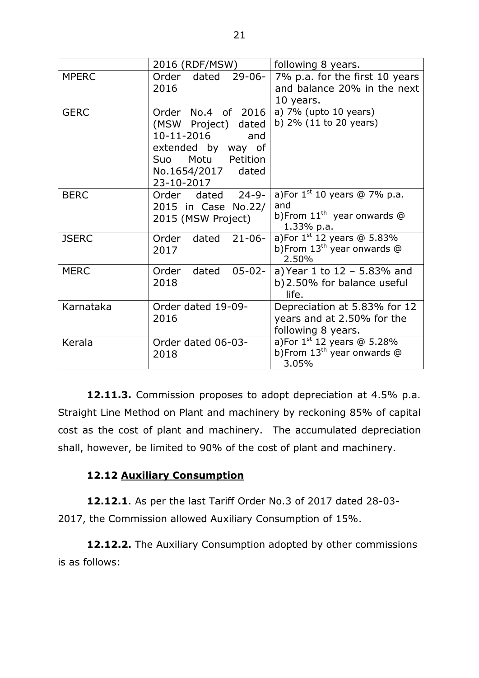|              | 2016 (RDF/MSW)                                                                                                                                      | following 8 years.                                                                        |  |  |  |  |  |  |
|--------------|-----------------------------------------------------------------------------------------------------------------------------------------------------|-------------------------------------------------------------------------------------------|--|--|--|--|--|--|
| <b>MPERC</b> | $29 - 06 -$<br>Order<br>dated<br>2016                                                                                                               | 7% p.a. for the first 10 years<br>and balance 20% in the next<br>10 years.                |  |  |  |  |  |  |
| <b>GERC</b>  | Order No.4 of 2016<br>(MSW Project) dated<br>10-11-2016<br>and<br>extended by way of<br>Motu<br>Petition<br>Suo<br>No.1654/2017 dated<br>23-10-2017 | a) $7\%$ (upto 10 years)<br>b) $2\%$ (11 to 20 years)                                     |  |  |  |  |  |  |
| <b>BERC</b>  | Order dated 24-9-<br>2015 in Case No.22/<br>2015 (MSW Project)                                                                                      | a)For $1^{st}$ 10 years @ 7% p.a.<br>and<br>b)From $11^{th}$ year onwards @<br>1.33% p.a. |  |  |  |  |  |  |
| <b>JSERC</b> | $21 - 06 -$<br>Order<br>dated<br>2017                                                                                                               | a)For $1^{st}$ 12 years @ 5.83%<br>b)From 13 <sup>th</sup> year onwards @<br>2.50%        |  |  |  |  |  |  |
| <b>MERC</b>  | $05 - 02 -$<br>dated<br>Order<br>2018                                                                                                               | a) Year 1 to $12 - 5.83\%$ and<br>b) 2.50% for balance useful<br>life.                    |  |  |  |  |  |  |
| Karnataka    | Order dated 19-09-<br>2016                                                                                                                          | Depreciation at 5.83% for 12<br>years and at 2.50% for the<br>following 8 years.          |  |  |  |  |  |  |
| Kerala       | Order dated 06-03-<br>2018                                                                                                                          | a)For $1^{st}$ 12 years @ 5.28%<br>b)From 13 <sup>th</sup> year onwards @<br>3.05%        |  |  |  |  |  |  |

**12.11.3.** Commission proposes to adopt depreciation at 4.5% p.a. Straight Line Method on Plant and machinery by reckoning 85% of capital cost as the cost of plant and machinery. The accumulated depreciation shall, however, be limited to 90% of the cost of plant and machinery.

## **12.12 Auxiliary Consumption**

**12.12.1**. As per the last Tariff Order No.3 of 2017 dated 28-03- 2017, the Commission allowed Auxiliary Consumption of 15%.

**12.12.2.** The Auxiliary Consumption adopted by other commissions is as follows: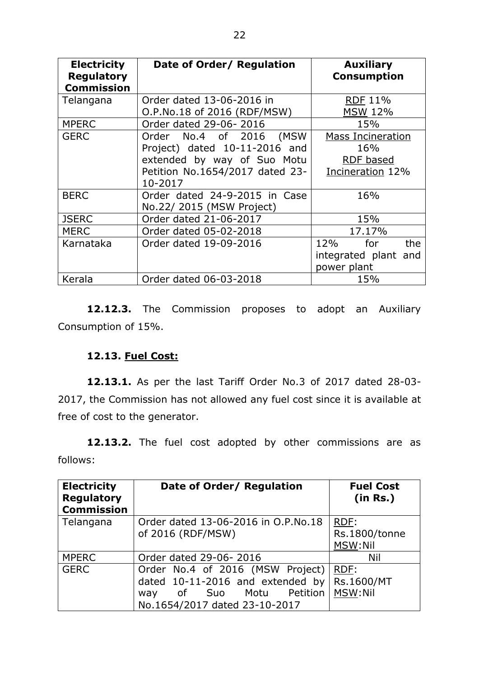| <b>Electricity</b><br><b>Regulatory</b><br><b>Commission</b> | Date of Order/ Regulation                                                                                                                | <b>Auxiliary</b><br><b>Consumption</b>                           |
|--------------------------------------------------------------|------------------------------------------------------------------------------------------------------------------------------------------|------------------------------------------------------------------|
| Telangana                                                    | Order dated 13-06-2016 in<br>O.P.No.18 of 2016 (RDF/MSW)                                                                                 | <b>RDF 11%</b><br><b>MSW 12%</b>                                 |
| <b>MPERC</b>                                                 | Order dated 29-06-2016                                                                                                                   | 15%                                                              |
| <b>GERC</b>                                                  | Order No.4 of 2016<br>(MSW<br>Project) dated 10-11-2016 and<br>extended by way of Suo Motu<br>Petition No.1654/2017 dated 23-<br>10-2017 | <b>Mass Incineration</b><br>16%<br>RDF based<br>Incineration 12% |
| <b>BERC</b>                                                  | Order dated 24-9-2015 in Case<br>No.22/ 2015 (MSW Project)                                                                               | 16%                                                              |
| <b>JSERC</b>                                                 | Order dated 21-06-2017                                                                                                                   | 15%                                                              |
| <b>MERC</b>                                                  | Order dated 05-02-2018                                                                                                                   | 17.17%                                                           |
| Karnataka                                                    | Order dated 19-09-2016                                                                                                                   | 12%<br>for<br>the<br>integrated plant and<br>power plant         |
| Kerala                                                       | Order dated 06-03-2018                                                                                                                   | 15%                                                              |

12.12.3. The Commission proposes to adopt an Auxiliary Consumption of 15%.

## **12.13. Fuel Cost:**

**12.13.1.** As per the last Tariff Order No.3 of 2017 dated 28-03- 2017, the Commission has not allowed any fuel cost since it is available at free of cost to the generator.

12.13.2. The fuel cost adopted by other commissions are as follows:

| <b>Electricity</b><br><b>Regulatory</b><br><b>Commission</b> | Date of Order/ Regulation                                                                                                               | <b>Fuel Cost</b><br>(in Rs.)     |
|--------------------------------------------------------------|-----------------------------------------------------------------------------------------------------------------------------------------|----------------------------------|
| Telangana                                                    | Order dated 13-06-2016 in O.P.No.18<br>of 2016 (RDF/MSW)                                                                                | RDF:<br>Rs.1800/tonne<br>MSW:Nil |
| <b>MPERC</b>                                                 | Order dated 29-06-2016                                                                                                                  | Nil                              |
| <b>GERC</b>                                                  | Order No.4 of 2016 (MSW Project)<br>dated 10-11-2016 and extended by<br>Suo Motu Petition<br>of<br>way<br>No.1654/2017 dated 23-10-2017 | RDF:<br>Rs.1600/MT<br>MSW:Nil    |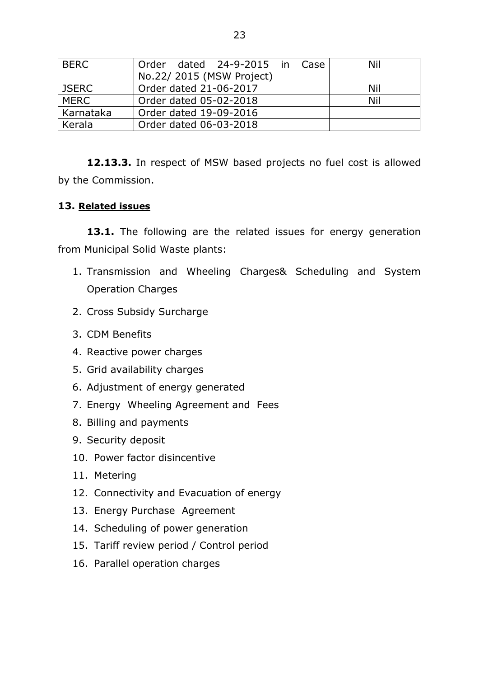| <b>BERC</b>  | Order dated 24-9-2015 in Case | Nil |
|--------------|-------------------------------|-----|
|              | No.22/2015 (MSW Project)      |     |
| <b>JSERC</b> | Order dated 21-06-2017        | Nil |
| <b>MERC</b>  | Order dated 05-02-2018        | Nil |
| Karnataka    | Order dated 19-09-2016        |     |
| Kerala       | Order dated 06-03-2018        |     |

**12.13.3.** In respect of MSW based projects no fuel cost is allowed by the Commission.

## **13. Related issues**

13.1. The following are the related issues for energy generation from Municipal Solid Waste plants:

- 1. Transmission and Wheeling Charges& Scheduling and System Operation Charges
- 2. Cross Subsidy Surcharge
- 3. CDM Benefits
- 4. Reactive power charges
- 5. Grid availability charges
- 6. Adjustment of energy generated
- 7. Energy Wheeling Agreement and Fees
- 8. Billing and payments
- 9. Security deposit
- 10. Power factor disincentive
- 11. Metering
- 12. Connectivity and Evacuation of energy
- 13. Energy Purchase Agreement
- 14. Scheduling of power generation
- 15. Tariff review period / Control period
- 16. Parallel operation charges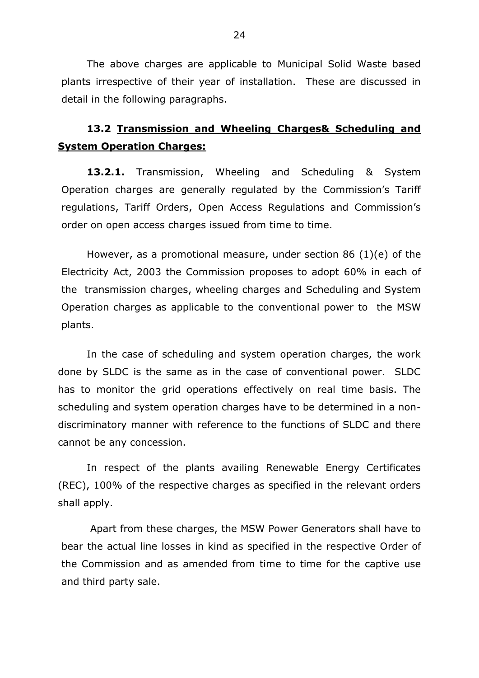The above charges are applicable to Municipal Solid Waste based plants irrespective of their year of installation. These are discussed in detail in the following paragraphs.

# **13.2 Transmission and Wheeling Charges& Scheduling and System Operation Charges:**

**13.2.1.** Transmission, Wheeling and Scheduling & System Operation charges are generally regulated by the Commission's Tariff regulations, Tariff Orders, Open Access Regulations and Commission's order on open access charges issued from time to time.

However, as a promotional measure, under section 86 (1)(e) of the Electricity Act, 2003 the Commission proposes to adopt 60% in each of the transmission charges, wheeling charges and Scheduling and System Operation charges as applicable to the conventional power to the MSW plants.

In the case of scheduling and system operation charges, the work done by SLDC is the same as in the case of conventional power. SLDC has to monitor the grid operations effectively on real time basis. The scheduling and system operation charges have to be determined in a nondiscriminatory manner with reference to the functions of SLDC and there cannot be any concession.

In respect of the plants availing Renewable Energy Certificates (REC), 100% of the respective charges as specified in the relevant orders shall apply.

Apart from these charges, the MSW Power Generators shall have to bear the actual line losses in kind as specified in the respective Order of the Commission and as amended from time to time for the captive use and third party sale.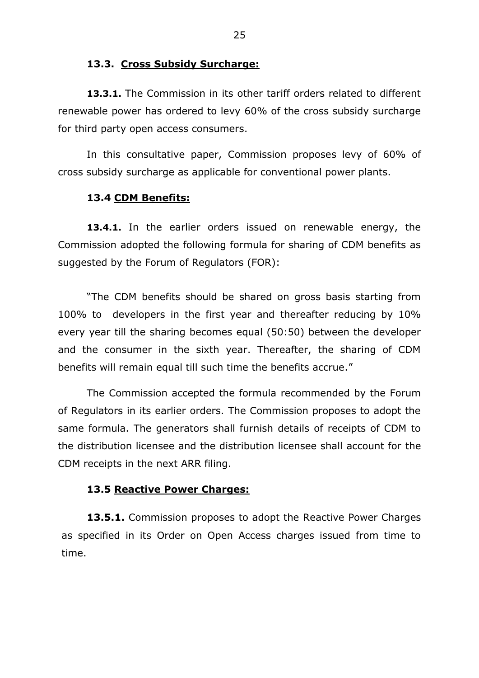#### **13.3. Cross Subsidy Surcharge:**

**13.3.1.** The Commission in its other tariff orders related to different renewable power has ordered to levy 60% of the cross subsidy surcharge for third party open access consumers.

In this consultative paper, Commission proposes levy of 60% of cross subsidy surcharge as applicable for conventional power plants.

#### **13.4 CDM Benefits:**

**13.4.1.** In the earlier orders issued on renewable energy, the Commission adopted the following formula for sharing of CDM benefits as suggested by the Forum of Regulators (FOR):

"The CDM benefits should be shared on gross basis starting from 100% to developers in the first year and thereafter reducing by 10% every year till the sharing becomes equal (50:50) between the developer and the consumer in the sixth year. Thereafter, the sharing of CDM benefits will remain equal till such time the benefits accrue."

The Commission accepted the formula recommended by the Forum of Regulators in its earlier orders. The Commission proposes to adopt the same formula. The generators shall furnish details of receipts of CDM to the distribution licensee and the distribution licensee shall account for the CDM receipts in the next ARR filing.

#### **13.5 Reactive Power Charges:**

**13.5.1.** Commission proposes to adopt the Reactive Power Charges as specified in its Order on Open Access charges issued from time to time.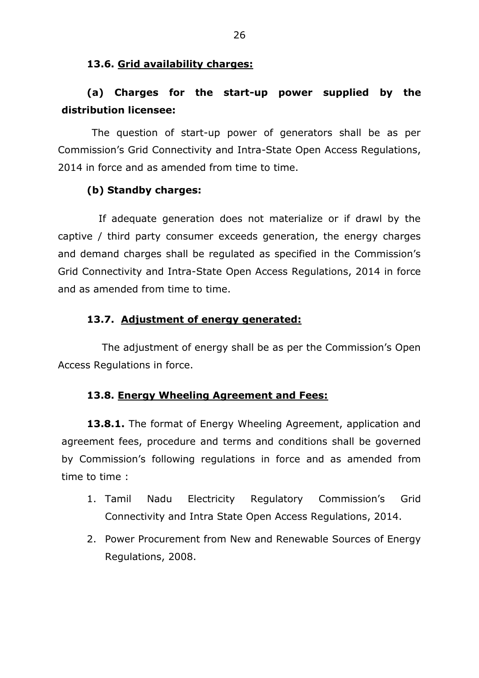## **13.6. Grid availability charges:**

# **(a) Charges for the start-up power supplied by the distribution licensee:**

 The question of start-up power of generators shall be as per Commission's Grid Connectivity and Intra-State Open Access Regulations, 2014 in force and as amended from time to time.

## **(b) Standby charges:**

 If adequate generation does not materialize or if drawl by the captive / third party consumer exceeds generation, the energy charges and demand charges shall be regulated as specified in the Commission's Grid Connectivity and Intra-State Open Access Regulations, 2014 in force and as amended from time to time.

## **13.7. Adjustment of energy generated:**

 The adjustment of energy shall be as per the Commission's Open Access Regulations in force.

### **13.8. Energy Wheeling Agreement and Fees:**

**13.8.1.** The format of Energy Wheeling Agreement, application and agreement fees, procedure and terms and conditions shall be governed by Commission's following regulations in force and as amended from time to time :

- 1. Tamil Nadu Electricity Regulatory Commission's Grid Connectivity and Intra State Open Access Regulations, 2014.
- 2. Power Procurement from New and Renewable Sources of Energy Regulations, 2008.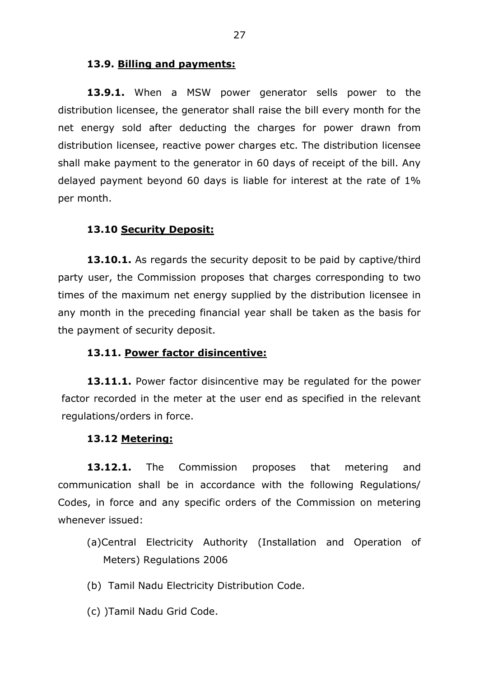### **13.9. Billing and payments:**

**13.9.1.** When a MSW power generator sells power to the distribution licensee, the generator shall raise the bill every month for the net energy sold after deducting the charges for power drawn from distribution licensee, reactive power charges etc. The distribution licensee shall make payment to the generator in 60 days of receipt of the bill. Any delayed payment beyond 60 days is liable for interest at the rate of 1% per month.

## **13.10 Security Deposit:**

**13.10.1.** As regards the security deposit to be paid by captive/third party user, the Commission proposes that charges corresponding to two times of the maximum net energy supplied by the distribution licensee in any month in the preceding financial year shall be taken as the basis for the payment of security deposit.

### **13.11. Power factor disincentive:**

13.11.1. Power factor disincentive may be regulated for the power factor recorded in the meter at the user end as specified in the relevant regulations/orders in force.

### **13.12 Metering:**

**13.12.1.** The Commission proposes that metering and communication shall be in accordance with the following Regulations/ Codes, in force and any specific orders of the Commission on metering whenever issued:

- (a)Central Electricity Authority (Installation and Operation of Meters) Regulations 2006
- (b) Tamil Nadu Electricity Distribution Code.
- (c) )Tamil Nadu Grid Code.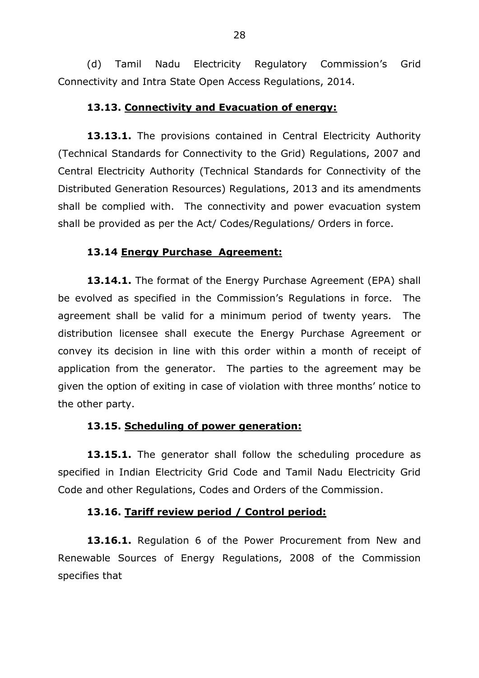(d) Tamil Nadu Electricity Regulatory Commission's Grid Connectivity and Intra State Open Access Regulations, 2014.

## **13.13. Connectivity and Evacuation of energy:**

13.13.1. The provisions contained in Central Electricity Authority (Technical Standards for Connectivity to the Grid) Regulations, 2007 and Central Electricity Authority (Technical Standards for Connectivity of the Distributed Generation Resources) Regulations, 2013 and its amendments shall be complied with. The connectivity and power evacuation system shall be provided as per the Act/ Codes/Regulations/ Orders in force.

## **13.14 Energy Purchase Agreement:**

**13.14.1.** The format of the Energy Purchase Agreement (EPA) shall be evolved as specified in the Commission's Regulations in force. The agreement shall be valid for a minimum period of twenty years. The distribution licensee shall execute the Energy Purchase Agreement or convey its decision in line with this order within a month of receipt of application from the generator. The parties to the agreement may be given the option of exiting in case of violation with three months' notice to the other party.

### **13.15. Scheduling of power generation:**

13.15.1. The generator shall follow the scheduling procedure as specified in Indian Electricity Grid Code and Tamil Nadu Electricity Grid Code and other Regulations, Codes and Orders of the Commission.

### **13.16. Tariff review period / Control period:**

**13.16.1.** Regulation 6 of the Power Procurement from New and Renewable Sources of Energy Regulations, 2008 of the Commission specifies that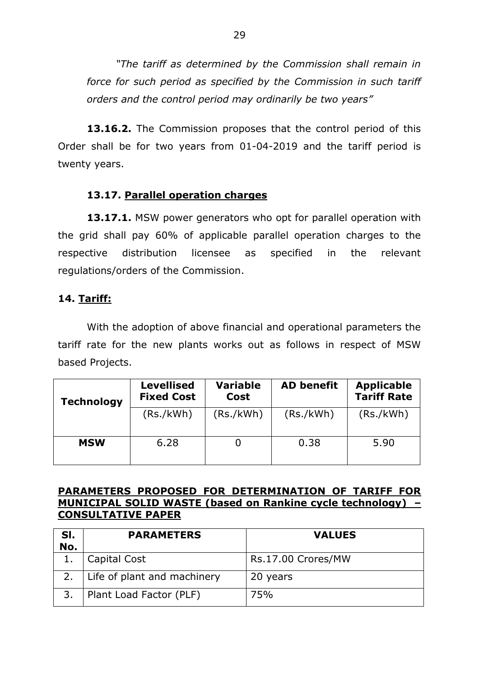*"The tariff as determined by the Commission shall remain in force for such period as specified by the Commission in such tariff orders and the control period may ordinarily be two years"*

**13.16.2.** The Commission proposes that the control period of this Order shall be for two years from 01-04-2019 and the tariff period is twenty years.

## **13.17. Parallel operation charges**

**13.17.1.** MSW power generators who opt for parallel operation with the grid shall pay 60% of applicable parallel operation charges to the respective distribution licensee as specified in the relevant regulations/orders of the Commission.

## **14. Tariff:**

With the adoption of above financial and operational parameters the tariff rate for the new plants works out as follows in respect of MSW based Projects.

| <b>Technology</b> | <b>Levellised</b><br><b>Fixed Cost</b> | <b>Variable</b><br><b>Cost</b> | <b>AD benefit</b> | <b>Applicable</b><br><b>Tariff Rate</b> |  |  |  |
|-------------------|----------------------------------------|--------------------------------|-------------------|-----------------------------------------|--|--|--|
|                   | (Rs./kWh)                              | (Rs./kWh)                      | (Rs./kWh)         | (Rs./kWh)                               |  |  |  |
| <b>MSW</b>        | 6.28                                   |                                | 0.38              | 5.90                                    |  |  |  |

## **PARAMETERS PROPOSED FOR DETERMINATION OF TARIFF FOR MUNICIPAL SOLID WASTE (based on Rankine cycle technology) – CONSULTATIVE PAPER**

| SI. | <b>PARAMETERS</b>           | <b>VALUES</b>      |  |  |  |  |  |  |  |
|-----|-----------------------------|--------------------|--|--|--|--|--|--|--|
| No. |                             |                    |  |  |  |  |  |  |  |
|     | Capital Cost                | Rs.17.00 Crores/MW |  |  |  |  |  |  |  |
|     | Life of plant and machinery | 20 years           |  |  |  |  |  |  |  |
|     | Plant Load Factor (PLF)     | 75%                |  |  |  |  |  |  |  |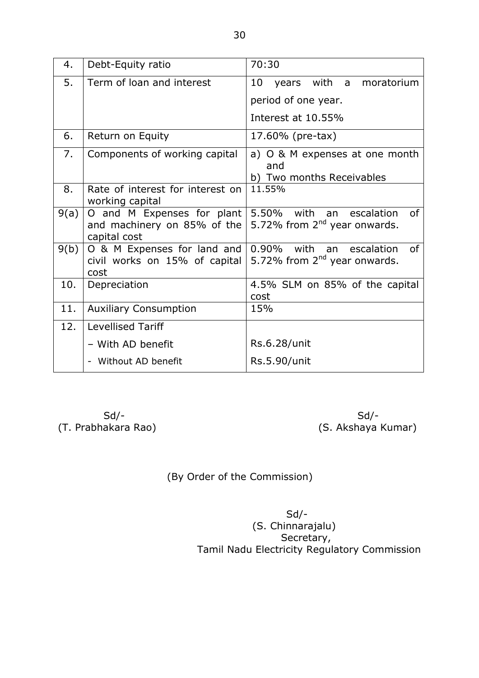| 4.   | Debt-Equity ratio                                                         | 70:30                                                                            |  |  |  |  |  |  |  |  |
|------|---------------------------------------------------------------------------|----------------------------------------------------------------------------------|--|--|--|--|--|--|--|--|
| 5.   | Term of loan and interest                                                 | 10<br>years with a moratorium                                                    |  |  |  |  |  |  |  |  |
|      |                                                                           | period of one year.                                                              |  |  |  |  |  |  |  |  |
|      |                                                                           | Interest at 10.55%                                                               |  |  |  |  |  |  |  |  |
| 6.   | Return on Equity                                                          | 17.60% (pre-tax)                                                                 |  |  |  |  |  |  |  |  |
| 7.   | Components of working capital                                             | a) O & M expenses at one month<br>and                                            |  |  |  |  |  |  |  |  |
|      |                                                                           | b) Two months Receivables                                                        |  |  |  |  |  |  |  |  |
| 8.   | Rate of interest for interest on<br>working capital                       | 11.55%                                                                           |  |  |  |  |  |  |  |  |
| 9(a) | O and M Expenses for plant<br>and machinery on 85% of the<br>capital cost | 5.50% with<br>an escalation<br><sub>of</sub><br>5.72% from $2nd$ year onwards.   |  |  |  |  |  |  |  |  |
| 9(b) | O & M Expenses for land and<br>civil works on 15% of capital<br>cost      | $0.90\%$<br>with an escalation<br>0f<br>5.72% from 2 <sup>nd</sup> year onwards. |  |  |  |  |  |  |  |  |
| 10.  | Depreciation                                                              | 4.5% SLM on 85% of the capital<br>cost                                           |  |  |  |  |  |  |  |  |
| 11.  | <b>Auxiliary Consumption</b>                                              | 15%                                                                              |  |  |  |  |  |  |  |  |
| 12.  | <b>Levellised Tariff</b>                                                  |                                                                                  |  |  |  |  |  |  |  |  |
|      | - With AD benefit                                                         | Rs.6.28/unit                                                                     |  |  |  |  |  |  |  |  |
|      | Without AD benefit<br>$\overline{\phantom{a}}$                            | Rs.5.90/unit                                                                     |  |  |  |  |  |  |  |  |

 Sd/- Sd/- (T. Prabhakara Rao) (S. Akshaya Kumar)

(By Order of the Commission)

 Sd/- (S. Chinnarajalu) Secretary, Tamil Nadu Electricity Regulatory Commission